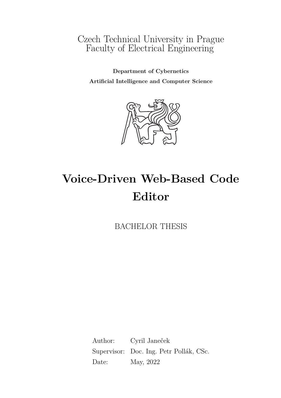# Czech Technical University in Prague Faculty of Electrical Engineering

**Department of Cybernetics Artificial Intelligence and Computer Science**



# **Voice-Driven Web-Based Code Editor**

BACHELOR THESIS

Author: Cyril Janeček Supervisor: Doc. Ing. Petr Pollák, CSc. Date: May, 2022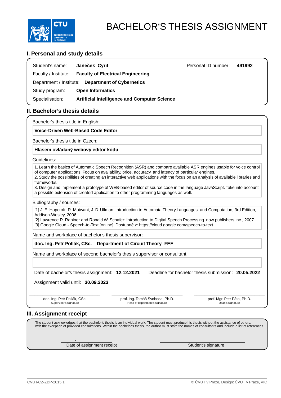

### **I. Personal and study details**

| Student's name: | Jane ek Cyril                                          | Personal ID number: | 491992 |
|-----------------|--------------------------------------------------------|---------------------|--------|
|                 | Faculty / Institute: Faculty of Electrical Engineering |                     |        |
|                 | Department / Institute: Department of Cybernetics      |                     |        |
| Study program:  | <b>Open Informatics</b>                                |                     |        |
| Specialisation: | <b>Artificial Intelligence and Computer Science</b>    |                     |        |

### **II. Bachelor's thesis details**

Bachelor's thesis title in English:

**Voice-Driven Web-Based Code Editor** 

Bachelor's thesis title in Czech:

#### **Hlasem ovládaný webový editor kódu**

#### Guidelines:

1. Learn the basics of Automatic Speech Recognition (ASR) and compare available ASR engines usable for voice control of computer applications. Focus on availability, price, accuracy, and latency of particular engines.

2. Study the possibilities of creating an interactive web applications with the focus on an analysis of available libraries and frameworks.

3. Design and implement a prototype of WEB-based editor of source code in the language JavaScript. Take into account a possible extension of created application to other programming languages as well.

#### Bibliography / sources:

[1] J. E. Hopcroft, R. Motwani, J. D. Ullman: Introduction to Automata Theory, Languages, and Computation, 3rd Edition, Addison-Wesley, 2006.

[2] Lawrence R. Rabiner and Ronald W. Schafer: Introduction to Digital Speech Processing. now publishers inc., 2007. [3] Google Cloud - Speech-to-Text [online]. Dostupné z: https://cloud.google.com/speech-to-text

Name and workplace of bachelor's thesis supervisor:

### **doc. Ing. Petr Pollák, CSc. Department of Circuit Theory FEE**

Name and workplace of second bachelor's thesis supervisor or consultant:

Date of bachelor's thesis assignment: **12.12.2021** Deadline for bachelor thesis submission: **20.05.2022**

Assignment valid until: **30.09.2023**

\_\_\_\_\_\_\_\_\_\_\_\_\_\_\_\_\_\_\_\_\_\_\_\_\_\_\_ \_\_\_\_\_\_\_\_\_\_\_\_\_\_\_\_\_\_\_\_\_\_\_\_\_\_\_ \_\_\_\_\_\_\_\_\_\_\_\_\_\_\_\_\_\_\_\_\_\_\_\_\_\_\_ doc. Ing. Petr Pollák, CSc. Supervisor's signature

.

prof. Ing. Tomáš Svoboda, Ph.D. Head of department's signature

prof. Mgr. Petr Páta, Ph.D. Dean's signature

### **III. Assignment receipt**

The student acknowledges that the bachelor's thesis is an individual work. The student must produce his thesis without the assistance of others, with the exception of provided consultations. Within the bachelor's thesis, the author must state the names of consultants and include a list of references.

Date of assignment receipt Student's signature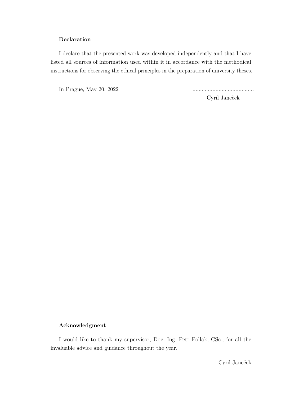### **Declaration**

I declare that the presented work was developed independently and that I have listed all sources of information used within it in accordance with the methodical instructions for observing the ethical principles in the preparation of university theses.

In Prague, May 20, 2022 ........................................

Cyril Janeček

### **Acknowledgment**

I would like to thank my supervisor, Doc. Ing. Petr Pollak, CSc., for all the invaluable advice and guidance throughout the year.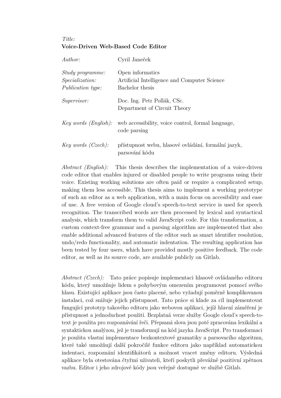### *Title:* **Voice-Driven Web-Based Code Editor**

| Author:                                                                       | Cyril Janeček                                                                       |
|-------------------------------------------------------------------------------|-------------------------------------------------------------------------------------|
| <i>Study programme:</i><br><i>Specialization:</i><br><i>Publication type:</i> | Open informatics<br>Artificial Intelligence and Computer Science<br>Bachelor thesis |
| <i>Supervisor:</i>                                                            | Doc. Ing. Petr Pollák, CSc.<br>Department of Circuit Theory                         |
| Key words (English):                                                          | web accessibility, voice control, formal language,<br>code parsing                  |
| Key words $(Czech)$ :                                                         | přístupnost webu, hlasové ovládání, formální jazyk,<br>parsování kódu               |

*Abstract (English):* This thesis describes the implementation of a voice-driven code editor that enables injured or disabled people to write programs using their voice. Existing working solutions are often paid or require a complicated setup, making them less accessible. This thesis aims to implement a working prototype of such an editor as a web application, with a main focus on accesibility and ease of use. A free version of Google cloud's speech-to-text service is used for speech recognition. The transcribed words are then processed by lexical and syntactical analysis, which transform them to valid JavaScript code. For this transformation, a custom context-free grammar and a parsing algorithm are implemented that also enable additional advanced features of the editor such as smart identifier resolution, undo/redo functionality, and automatic indentation. The resulting application has been tested by four users, which have provided mostly positive feedback. The code editor, as well as its source code, are available publicly on Gitlab.

*Abstract (Czech):* Tato práce popisuje implementaci hlasově ovládaného editoru kódu, který umožňuje lidem s pohybovým omezením programovat pomocí svého hlasu. Existující aplikace jsou často placené, nebo vyžadují poměrně komplikovanou instalaci, což snižuje jejich přístupnost. Tato práce si klade za cíl implementovat fungující prototyp takového editoru jako webovou aplikaci, jejíž hlavní záměření je přístupnost a jednoduchost použití. Bezplatná verze služby Google cloud's speech-totext je použita pro rozpoznávání řeči. Přepsaná slova jsou poté zpracována lexikální a syntaktickou analýzou, jež je transformují na kód jazyka JavaScript. Pro transformaci je použita vlastní implementace bezkontextové gramatiky a parsovacího algoritmu, které také umožňují další pokročilé funkce editoru jako například automatickou indentaci, rozpoznání identifikátorů a možnost vracet změny editoru. Výsledná aplikace byla otestována čtyřmi uživateli, kteří poskytli převážně pozitivní zpětnou vazbu. Editor i jeho zdrojové kódy jsou veřejně dostupné ve službě Gitlab.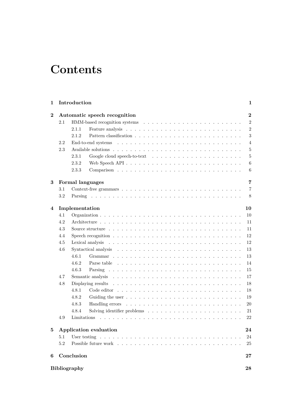# **Contents**

| 1        |     | Introduction         |                                                                                                    |  |  | 1               |  |  |
|----------|-----|----------------------|----------------------------------------------------------------------------------------------------|--|--|-----------------|--|--|
| $\bf{2}$ |     |                      | Automatic speech recognition                                                                       |  |  | $\overline{2}$  |  |  |
|          | 2.1 |                      |                                                                                                    |  |  | 2               |  |  |
|          |     | 2.1.1                |                                                                                                    |  |  | $\overline{2}$  |  |  |
|          |     | 2.1.2                |                                                                                                    |  |  | $\sqrt{3}$      |  |  |
|          | 2.2 |                      |                                                                                                    |  |  | $\overline{4}$  |  |  |
|          | 2.3 |                      |                                                                                                    |  |  | $\overline{5}$  |  |  |
|          |     | 2.3.1                |                                                                                                    |  |  | $\overline{5}$  |  |  |
|          |     | 2.3.2                |                                                                                                    |  |  | $6\phantom{.}6$ |  |  |
|          |     | 2.3.3                |                                                                                                    |  |  | $\,6$           |  |  |
| 3        |     |                      | Formal languages                                                                                   |  |  | $\overline{7}$  |  |  |
|          | 3.1 |                      |                                                                                                    |  |  | $\overline{7}$  |  |  |
|          | 3.2 |                      |                                                                                                    |  |  | 8               |  |  |
| 4        |     | 10<br>Implementation |                                                                                                    |  |  |                 |  |  |
|          | 4.1 |                      |                                                                                                    |  |  | 10              |  |  |
|          | 4.2 |                      |                                                                                                    |  |  | 11              |  |  |
|          | 4.3 |                      |                                                                                                    |  |  | 11              |  |  |
|          | 4.4 |                      | Speech recognition $\ldots \ldots \ldots \ldots \ldots \ldots \ldots \ldots \ldots \ldots \ldots$  |  |  | 12              |  |  |
|          | 4.5 |                      |                                                                                                    |  |  | 12              |  |  |
|          | 4.6 |                      |                                                                                                    |  |  | 13              |  |  |
|          |     | 4.6.1                |                                                                                                    |  |  | 13              |  |  |
|          |     | 4.6.2                | Parse table $\ldots \ldots \ldots \ldots \ldots \ldots \ldots \ldots \ldots \ldots$                |  |  | 14              |  |  |
|          |     | 4.6.3                |                                                                                                    |  |  | 15              |  |  |
|          | 4.7 |                      |                                                                                                    |  |  |                 |  |  |
|          | 4.8 |                      |                                                                                                    |  |  | 18              |  |  |
|          |     | 4.8.1                |                                                                                                    |  |  | 18              |  |  |
|          |     | 4.8.2                |                                                                                                    |  |  | 19              |  |  |
|          |     | 4.8.3                |                                                                                                    |  |  | $20\,$          |  |  |
|          |     | 4.8.4                | Solving identifier problems $\ldots \ldots \ldots \ldots \ldots \ldots \ldots \ldots$              |  |  | 21              |  |  |
|          | 4.9 |                      |                                                                                                    |  |  | 22              |  |  |
| $\bf{5}$ |     |                      | Application evaluation                                                                             |  |  | 24              |  |  |
|          | 5.1 |                      | User testing $\ldots \ldots \ldots \ldots \ldots \ldots \ldots \ldots \ldots \ldots \ldots \ldots$ |  |  | 24              |  |  |
|          | 5.2 |                      |                                                                                                    |  |  | 25              |  |  |
| 6        |     | Conclusion           |                                                                                                    |  |  | $\bf 27$        |  |  |
|          |     | <b>Bibliography</b>  |                                                                                                    |  |  | 28              |  |  |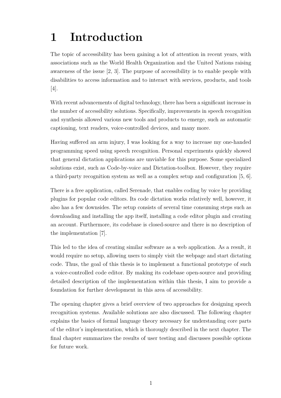# <span id="page-5-0"></span>**1 Introduction**

The topic of accessibility has been gaining a lot of attention in recent years, with associations such as the World Health Organization and the United Nations raising awareness of the issue [\[2,](#page-32-1) [3\]](#page-32-2). The purpose of accessibility is to enable people with disabilities to access information and to interact with services, products, and tools [\[4\]](#page-32-3).

With recent advancements of digital technology, there has been a significant increase in the number of accessibility solutions. Specifically, improvements in speech recognition and synthesis allowed various new tools and products to emerge, such as automatic captioning, text readers, voice-controlled devices, and many more.

Having suffered an arm injury, I was looking for a way to increase my one-handed programming speed using speech recognition. Personal experiments quickly showed that general dictation applications are unviable for this purpose. Some specialized solutions exist, such as Code-by-voice and Dictation-toolbox. However, they require a third-party recognition system as well as a complex setup and configuration [\[5,](#page-32-4) [6\]](#page-32-5).

There is a free application, called Serenade, that enables coding by voice by providing plugins for popular code editors. Its code dictation works relatively well, however, it also has a few downsides. The setup consists of several time consuming steps such as downloading and installing the app itself, installing a code editor plugin and creating an account. Furthermore, its codebase is closed-source and there is no description of the implementation [\[7\]](#page-32-6).

This led to the idea of creating similar software as a web application. As a result, it would require no setup, allowing users to simply visit the webpage and start dictating code. Thus, the goal of this thesis is to implement a functional prototype of such a voice-controlled code editor. By making its codebase open-source and providing detailed description of the implementation within this thesis, I aim to provide a foundation for further development in this area of accessibility.

The opening chapter gives a brief overview of two approaches for designing speech recognition systems. Available solutions are also discussed. The following chapter explains the basics of formal language theory necessary for understanding core parts of the editor's implementation, which is thorougly described in the next chapter. The final chapter summarizes the results of user testing and discusses possible options for future work.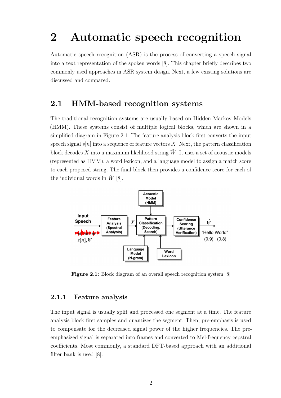# <span id="page-6-0"></span>**2 Automatic speech recognition**

Automatic speech recognition (ASR) is the process of converting a speech signal into a text representation of the spoken words [\[8\]](#page-32-7). This chapter briefly describes two commonly used approaches in ASR system design. Next, a few existing solutions are discussed and compared.

## <span id="page-6-1"></span>**2.1 HMM-based recognition systems**

The traditional recognition systems are usually based on Hidden Markov Models (HMM). These systems consist of multiple logical blocks, which are shown in a simplified diagram in Figure 2.1. The feature analysis block first converts the input speech signal  $s[n]$  into a sequence of feature vectors X. Next, the pattern classification block decodes X into a maximum likelihood string  $\hat{W}$ . It uses a set of acoustic models (represented as HMM), a word lexicon, and a language model to assign a match score to each proposed string. The final block then provides a confidence score for each of the individual words in  $\hat{W}$  [\[8\]](#page-32-7).



**Figure 2.1:** Block diagram of an overall speech recognition system [\[8\]](#page-32-7)

### <span id="page-6-2"></span>**2.1.1 Feature analysis**

<span id="page-6-3"></span>The input signal is usually split and processed one segment at a time. The feature analysis block first samples and quantizes the segment. Then, pre-emphasis is used to compensate for the decreased signal power of the higher frequencies. The preemphasized signal is separated into frames and converted to Mel-frequency cepstral coefficients. Most commonly, a standard DFT-based approach with an additional filter bank is used [\[8\]](#page-32-7).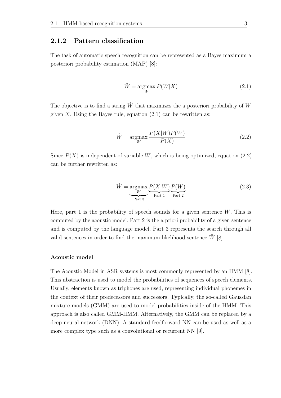### **2.1.2 Pattern classification**

<span id="page-7-0"></span>The task of automatic speech recognition can be represented as a Bayes maximum a posteriori probability estimation (MAP) [\[8\]](#page-32-7):

$$
\hat{W} = \underset{W}{\text{argmax}} P(W|X) \tag{2.1}
$$

<span id="page-7-1"></span>The objective is to find a string  $\hat{W}$  that maximizes the a posteriori probability of W given  $X$ . Using the Bayes rule, equation  $(2.1)$  can be rewritten as:

$$
\hat{W} = \underset{W}{\text{argmax}} \frac{P(X|W)P(W)}{P(X)}
$$
\n(2.2)

Since  $P(X)$  is independent of variable W, which is being optimized, equation [\(2.2\)](#page-7-1) can be further rewritten as:

$$
\hat{W} = \underset{\text{Part 3}}{\text{argmax}} \underbrace{P(X|W)}_{\text{Part 1}} \underbrace{P(W)}_{\text{Part 2}} \tag{2.3}
$$

Here, part 1 is the probability of speech sounds for a given sentence  $W$ . This is computed by the acoustic model. Part 2 is the a priori probability of a given sentence and is computed by the language model. Part 3 represents the search through all valid sentences in order to find the maximum likelihood sentence  $\hat{W}$  [\[8\]](#page-32-7).

### **Acoustic model**

The Acoustic Model in ASR systems is most commonly represented by an HMM [\[8\]](#page-32-7). This abstraction is used to model the probabilities of sequences of speech elements. Usually, elements known as triphones are used, representing individual phonemes in the context of their predecessors and successors. Typically, the so-called Gaussian mixture models (GMM) are used to model probabilities inside of the HMM. This approach is also called GMM-HMM. Alternatively, the GMM can be replaced by a deep neural network (DNN). A standard feedforward NN can be used as well as a more complex type such as a convolutional or recurrent NN [\[9\]](#page-32-8).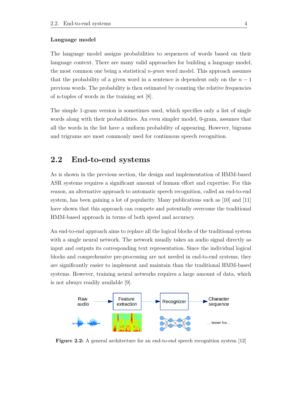#### **Language model**

The language model assigns probabilities to sequences of words based on their language context. There are many valid approaches for building a language model, the most common one being a statistical *n-gram* word model. This approach assumes that the probability of a given word in a sentence is dependent only on the  $n-1$ previous words. The probability is then estimated by counting the relative frequencies of n-tuples of words in the training set [\[8\]](#page-32-7).

The simple 1-gram version is sometimes used, which specifies only a list of single words along with their probabilities. An even simpler model, 0-gram, assumes that all the words in the list have a uniform probability of appearing. However, bigrams and trigrams are most commonly used for continuous speech recognition.

## <span id="page-8-0"></span>**2.2 End-to-end systems**

As is shown in the previous section, the design and implementation of HMM-based ASR systems requires a significant amount of human effort and expertise. For this reason, an alternative approach to automatic speech recognition, called an end-to-end system, has been gaining a lot of popularity. Many publications such as [\[10\]](#page-32-9) and [\[11\]](#page-32-10) have shown that this approach can compete and potentially overcome the traditional HMM-based approach in terms of both speed and accuracy.

An end-to-end approach aims to replace all the logical blocks of the traditional system with a single neural network. The network usually takes an audio signal directly as input and outputs its corresponding text representation. Since the individual logical blocks and comprehensive pre-processing are not needed in end-to-end systems, they are significantly easier to implement and maintain than the traditional HMM-based systems. However, training neural networks requires a large amount of data, which is not always readily available [\[9\]](#page-32-8).



<span id="page-8-1"></span>**Figure 2.2:** A general architecture for an end-to-end speech recognition system [\[12\]](#page-32-11)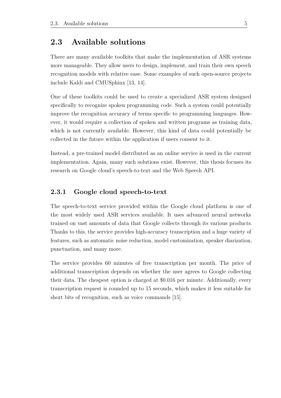## **2.3 Available solutions**

There are many available toolkits that make the implementation of ASR systems more manageable. They allow users to design, implement, and train their own speech recognition models with relative ease. Some examples of such open-source projects include Kaldi and CMUSphinx [\[13,](#page-32-12) [14\]](#page-32-13).

One of these toolkits could be used to create a specialized ASR system designed specifically to recognize spoken programming code. Such a system could potentially improve the recognition accuracy of terms specific to programming languages. However, it would require a collection of spoken and written programs as training data, which is not currently available. However, this kind of data could potentially be collected in the future within the application if users consent to it.

Instead, a pre-trained model distributed as an online service is used in the current implementation. Again, many such solutions exist. However, this thesis focuses its research on Google cloud's speech-to-text and the Web Speech API.

### <span id="page-9-0"></span>**2.3.1 Google cloud speech-to-text**

The speech-to-text service provided within the Google cloud platform is one of the most widely used ASR services available. It uses advanced neural networks trained on vast amounts of data that Google collects through its various products. Thanks to this, the service provides high-accuracy transcription and a huge variety of features, such as automatic noise reduction, model customization, speaker diarization, punctuation, and many more.

The service provides 60 minutes of free transcription per month. The price of additional transcription depends on whether the user agrees to Google collecting their data. The cheapest option is charged at \$0.016 per minute. Additionally, every transcription request is rounded up to 15 seconds, which makes it less suitable for short bits of recognition, such as voice commands [\[15\]](#page-32-14).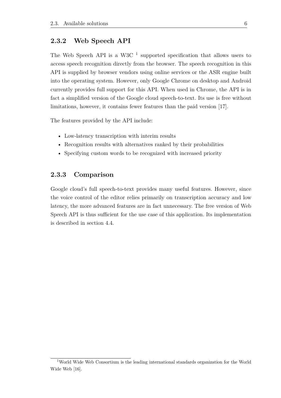### <span id="page-10-0"></span>**2.3.2 Web Speech API**

The Web Speech API is a W3C  $<sup>1</sup>$  $<sup>1</sup>$  $<sup>1</sup>$  supported specification that allows users to</sup> access speech recognition directly from the browser. The speech recognition in this API is supplied by browser vendors using online services or the ASR engine built into the operating system. However, only Google Chrome on desktop and Android currently provides full support for this API. When used in Chrome, the API is in fact a simplified version of the Google cloud speech-to-text. Its use is free without limitations, however, it contains fewer features than the paid version [\[17\]](#page-32-15).

The features provided by the API include:

- Low-latency transcription with interim results
- Recognition results with alternatives ranked by their probabilities
- <span id="page-10-1"></span>• Specifying custom words to be recognized with increased priority

### **2.3.3 Comparison**

Google cloud's full speech-to-text provides many useful features. However, since the voice control of the editor relies primarily on transcription accuracy and low latency, the more advanced features are in fact unnecessary. The free version of Web Speech API is thus sufficient for the use case of this application. Its implementation is described in section [4.4.](#page-15-1)

<span id="page-10-2"></span><sup>1</sup>World Wide Web Consortium is the leading international standards organization for the World Wide Web [\[16\]](#page-32-16).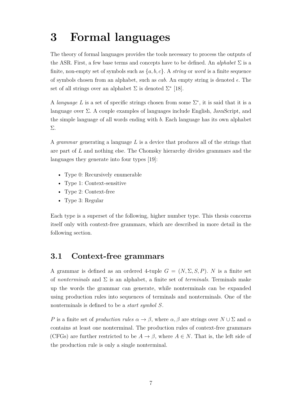# <span id="page-11-0"></span>**3 Formal languages**

The theory of formal languages provides the tools necessary to process the outputs of the ASR. First, a few base terms and concepts have to be defined. An *alphabet* Σ is a finite, non-empty set of symbols such as  $\{a, b, c\}$ . A *string* or *word* is a finite sequence of symbols chosen from an alphabet, such as *cab*. An empty string is denoted  $\epsilon$ . The set of all strings over an alphabet  $\Sigma$  is denoted  $\Sigma^*$  [\[18\]](#page-32-17).

A *language* L is a set of specific strings chosen from some  $\Sigma^*$ , it is said that it is a language over  $\Sigma$ . A couple examples of languages include English, JavaScript, and the simple language of all words ending with  $b$ . Each language has its own alphabet Σ.

A *grammar* generating a language  $L$  is a device that produces all of the strings that are part of  $L$  and nothing else. The Chomsky hierarchy divides grammars and the languages they generate into four types [\[19\]](#page-33-0):

- Type 0: Recursively enumerable
- Type 1: Context-sensitive
- Type 2: Context-free
- Type 3: Regular

Each type is a superset of the following, higher number type. This thesis concerns itself only with context-free grammars, which are described in more detail in the following section.

## <span id="page-11-1"></span>**3.1 Context-free grammars**

A grammar is defined as an ordered 4-tuple  $G = (N, \Sigma, S, P)$ . N is a finite set of *nonterminals* and Σ is an alphabet, a finite set of *terminals*. Terminals make up the words the grammar can generate, while nonterminals can be expanded using production rules into sequences of terminals and nonterminals. One of the nonterminals is defined to be a *start symbol* .

P is a finite set of *production rules*  $\alpha \to \beta$ , where  $\alpha, \beta$  are strings over  $N \cup \Sigma$  and  $\alpha$ contains at least one nonterminal. The production rules of context-free grammars (CFGs) are further restricted to be  $A \to \beta$ , where  $A \in N$ . That is, the left side of the production rule is only a single nonterminal.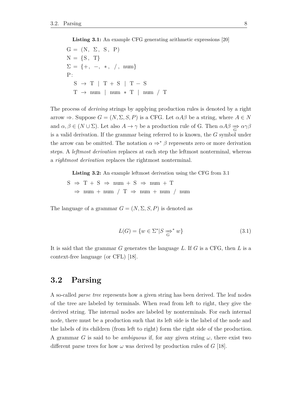**Listing 3.1:** An example CFG generating arithmetic expressions [\[20\]](#page-33-1)

<span id="page-12-1"></span>
$$
G = (N, \Sigma, S, P)
$$
  
\n
$$
N = \{S, T\}
$$
  
\n
$$
\Sigma = \{+, -, *, /, num\}
$$
  
\n
$$
S \rightarrow T | T + S | T - S
$$
  
\n
$$
T \rightarrow num | num * T | num / T
$$

The process of *deriving* strings by applying production rules is denoted by a right arrow  $\Rightarrow$ . Suppose  $G = (N, \Sigma, S, P)$  is a CFG. Let  $\alpha A\beta$  be a string, where  $A \in N$ and  $\alpha, \beta \in (N \cup \Sigma)$ . Let also  $A \to \gamma$  be a production rule of G. Then  $\alpha A \beta \Rightarrow \alpha \gamma \beta$ is a valid derivation. If the grammar being referred to is known, the  $G$  symbol under the arrow can be omitted. The notation  $\alpha \Rightarrow^* \beta$  represents zero or more derivation steps. A *leftmost derivation* replaces at each step the leftmost nonterminal, whereas a *rightmost derivation* replaces the rightmost nonterminal.

<span id="page-12-2"></span>**Listing 3.2:** An example leftmost derivation using the CFG from [3.1](#page-12-1)

$$
S \Rightarrow T + S \Rightarrow num + S \Rightarrow num + T
$$
  

$$
\Rightarrow num + num / T \Rightarrow num + num / num
$$

The language of a grammar  $G = (N, \Sigma, S, P)$  is denoted as

$$
L(G) = \{ w \in \Sigma^* | S \xrightarrow{\sim} w \}
$$
\n
$$
(3.1)
$$

<span id="page-12-0"></span>It is said that the grammar  $G$  generates the language  $L$ . If  $G$  is a CFG, then  $L$  is a context-free language (or CFL) [\[18\]](#page-32-17).

## **3.2 Parsing**

A so-called *parse tree* represents how a given string has been derived. The leaf nodes of the tree are labeled by terminals. When read from left to right, they give the derived string. The internal nodes are labeled by nonterminals. For each internal node, there must be a production such that its left side is the label of the node and the labels of its children (from left to right) form the right side of the production. A grammar G is said to be *ambiguous* if, for any given string  $\omega$ , there exist two different parse trees for how  $\omega$  was derived by production rules of G [\[18\]](#page-32-17).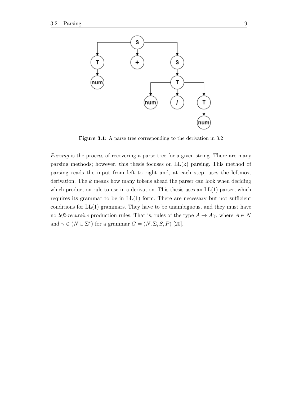

**Figure 3.1:** A parse tree corresponding to the derivation in [3.2](#page-12-2)

*Parsing* is the process of recovering a parse tree for a given string. There are many parsing methods; however, this thesis focuses on LL(k) parsing. This method of parsing reads the input from left to right and, at each step, uses the leftmost derivation. The  $k$  means how many tokens ahead the parser can look when deciding which production rule to use in a derivation. This thesis uses an  $LL(1)$  parser, which requires its grammar to be in  $LL(1)$  form. There are necessary but not sufficient conditions for LL(1) grammars. They have to be unambiguous, and they must have no *left-recursive* production rules. That is, rules of the type  $A \to A\gamma$ , where  $A \in N$ and  $\gamma \in (N \cup \Sigma^*)$  for a grammar  $G = (N, \Sigma, S, P)$  [\[20\]](#page-33-1).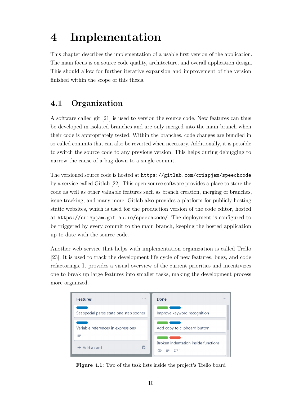# <span id="page-14-0"></span>**4 Implementation**

This chapter describes the implementation of a usable first version of the application. The main focus is on source code quality, architecture, and overall application design. This should allow for further iterative expansion and improvement of the version finished within the scope of this thesis.

# <span id="page-14-1"></span>**4.1 Organization**

A software called git [\[21\]](#page-33-2) is used to version the source code. New features can thus be developed in isolated branches and are only merged into the main branch when their code is appropriately tested. Within the branches, code changes are bundled in so-called commits that can also be reverted when necessary. Additionally, it is possible to switch the source code to any previous version. This helps during debugging to narrow the cause of a bug down to a single commit.

The versioned source code is hosted at <https://gitlab.com/crispjam/speechcode> by a service called Gitlab [\[22\]](#page-33-3). This open-source software provides a place to store the code as well as other valuable features such as branch creation, merging of branches, issue tracking, and many more. Gitlab also provides a platform for publicly hosting static websites, which is used for the production version of the code editor, hosted at <https://crispjam.gitlab.io/speechcode/>. The deployment is configured to be triggered by every commit to the main branch, keeping the hosted application up-to-date with the source code.

Another web service that helps with implementation organization is called Trello [\[23\]](#page-33-4). It is used to track the development life cycle of new features, bugs, and code refactorings. It provides a visual overview of the current priorities and incentivizes one to break up large features into smaller tasks, making the development process more organized.



<span id="page-14-2"></span>**Figure 4.1:** Two of the task lists inside the project's Trello board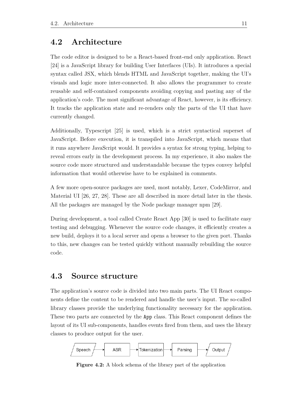## **4.2 Architecture**

The code editor is designed to be a React-based front-end only application. React [\[24\]](#page-33-5) is a JavaScript library for building User Interfaces (UIs). It introduces a special syntax called JSX, which blends HTML and JavaScript together, making the UI's visuals and logic more inter-connected. It also allows the programmer to create reusable and self-contained components avoiding copying and pasting any of the application's code. The most significant advantage of React, however, is its efficiency. It tracks the application state and re-renders only the parts of the UI that have currently changed.

Additionally, Typescript [\[25\]](#page-33-6) is used, which is a strict syntactical superset of JavaScript. Before execution, it is transpiled into JavaScript, which means that it runs anywhere JavaScript would. It provides a syntax for strong typing, helping to reveal errors early in the development process. In my experience, it also makes the source code more structured and understandable because the types convey helpful information that would otherwise have to be explained in comments.

A few more open-source packages are used, most notably, Lexer, CodeMirror, and Material UI [\[26,](#page-33-7) [27,](#page-33-8) [28\]](#page-33-9). These are all described in more detail later in the thesis. All the packages are managed by the Node package manager npm [\[29\]](#page-33-10).

During development, a tool called Create React App [\[30\]](#page-33-11) is used to facilitate easy testing and debugging. Whenever the source code changes, it efficiently creates a new build, deploys it to a local server and opens a browser to the given port. Thanks to this, new changes can be tested quickly without manually rebuilding the source code.

### <span id="page-15-0"></span>**4.3 Source structure**

The application's source code is divided into two main parts. The UI React components define the content to be rendered and handle the user's input. The so-called library classes provide the underlying functionality necessary for the application. These two parts are connected by the App class. This React component defines the layout of its UI sub-components, handles events fired from them, and uses the library classes to produce output for the user.



<span id="page-15-1"></span>**Figure 4.2:** A block schema of the library part of the application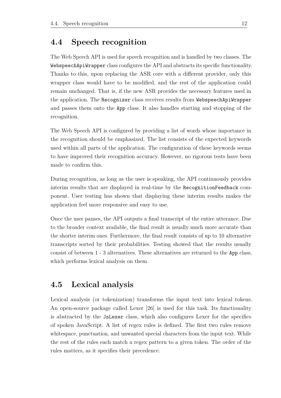## **4.4 Speech recognition**

The Web Speech API is used for speech recognition and is handled by two classes. The WebspeechApiWrapper class configures the API and abstracts its specific functionality. Thanks to this, upon replacing the ASR core with a different provider, only this wrapper class would have to be modified, and the rest of the application could remain unchanged. That is, if the new ASR provides the necessary features used in the application. The Recognizer class receives results from WebspeechApiWrapper and passes them onto the App class. It also handles starting and stopping of the recognition.

The Web Speech API is configured by providing a list of words whose importance in the recognition should be emphasized. The list consists of the expected keywords used within all parts of the application. The configuration of these keywords seems to have improved their recognition accuracy. However, no rigorous tests have been made to confirm this.

During recognition, as long as the user is speaking, the API continuously provides interim results that are displayed in real-time by the RecognitionFeedback component. User testing has shown that displaying these interim results makes the application feel more responsive and easy to use.

Once the user pauses, the API outputs a final transcript of the entire utterance. Due to the broader context available, the final result is usually much more accurate than the shorter interim ones. Furthermore, the final result consists of up to 10 alternative transcripts sorted by their probabilities. Testing showed that the results usually consist of between 1 - 3 alternatives. These alternatives are returned to the App class, which performs lexical analysis on them.

## <span id="page-16-0"></span>**4.5 Lexical analysis**

Lexical analysis (or tokenization) transforms the input text into lexical tokens. An open-source package called Lexer [\[26\]](#page-33-7) is used for this task. Its functionality is abstracted by the JsLexer class, which also configures Lexer for the specifics of spoken JavaScript. A list of regex rules is defined. The first two rules remove whitespace, punctuation, and unwanted special characters from the input text. While the rest of the rules each match a regex pattern to a given token. The order of the rules matters, as it specifies their precedence.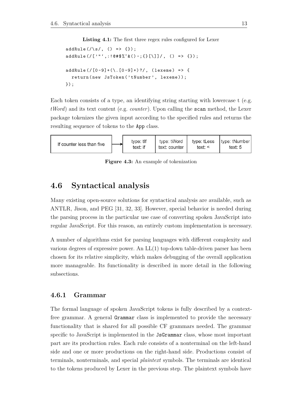Listing 4.1: The first three regex rules configured for Lexer

```
addRule (/ \s/ , () => {}addRule(/['"',:!@#$%^&()~;{}[\]]/, () => {});
addRule(/[0-9] + (\ldots [0-9] + )?/, (lexeme) => {
  return (new JsToken ('tNumber ', lexeme ));
});
```
Each token consists of a type, an identifying string starting with lowercase t (e.g. *tWord*) and its text content (e.g. *counter*). Upon calling the scan method, the Lexer package tokenizes the given input according to the specified rules and returns the resulting sequence of tokens to the App class.



**Figure 4.3:** An example of tokenization

## <span id="page-17-0"></span>**4.6 Syntactical analysis**

Many existing open-source solutions for syntactical analysis are available, such as ANTLR, Jison, and PEG [\[31,](#page-33-12) [32,](#page-33-13) [33\]](#page-33-14). However, special behavior is needed during the parsing process in the particular use case of converting spoken JavaScript into regular JavaScript. For this reason, an entirely custom implementation is necessary.

A number of algorithms exist for parsing languages with different complexity and various degrees of expressive power. An LL(1) top-down table-driven parser has been chosen for its relative simplicity, which makes debugging of the overall application more manageable. Its functionality is described in more detail in the following subsections.

### <span id="page-17-1"></span>**4.6.1 Grammar**

The formal language of spoken JavaScript tokens is fully described by a contextfree grammar. A general Grammar class is implemented to provide the necessary functionality that is shared for all possible CF grammars needed. The grammar specific to JavaScript is implemented in the JsGrammar class, whose most important part are its production rules. Each rule consists of a nonterminal on the left-hand side and one or more productions on the right-hand side. Productions consist of terminals, nonterminals, and special *plaintext* symbols. The terminals are identical to the tokens produced by Lexer in the previous step. The plaintext symbols have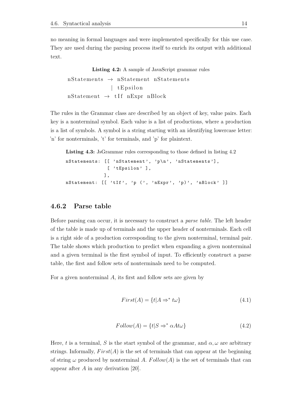no meaning in formal languages and were implemented specifically for this use case. They are used during the parsing process itself to enrich its output with additional text.

<span id="page-18-1"></span>**Listing 4.2:** A sample of JavaScript grammar rules  $nStates \rightarrow nStatement nStatement$ | tEpsilon  $nStatement \rightarrow tIf nExpr nBlock$ 

The rules in the Grammar class are described by an object of key, value pairs. Each key is a nonterminal symbol. Each value is a list of productions, where a production is a list of symbols. A symbol is a string starting with an identifying lowercase letter: 'n' for nonterminals, 't' for terminals, and 'p' for plaintext.

**Listing 4.3:** JsGrammar rules corresponding to those defined in listing [4.2](#page-18-1)

```
nStatements: [[ 'nStatement ', 'p\n', ' nStatements '] ,
               [ 'tEpsilon' ],
             ] ,
nStatement: [[ 'tIf', 'p (', 'nExpr', 'p)', 'nBlock' ]]
```
### <span id="page-18-0"></span>**4.6.2 Parse table**

Before parsing can occur, it is necessary to construct a *parse table*. The left header of the table is made up of terminals and the upper header of nonterminals. Each cell is a right side of a production corresponding to the given nonterminal, terminal pair. The table shows which production to predict when expanding a given nonterminal and a given terminal is the first symbol of input. To efficiently construct a parse table, the first and follow sets of nonterminals need to be computed.

For a given nonterminal  $A$ , its first and follow sets are given by

$$
First(A) = \{t | A \Rightarrow^* t\omega\}
$$
\n
$$
(4.1)
$$

$$
Follow(A) = \{t|S \Rightarrow^* \alpha At\omega\}
$$
\n(4.2)

Here, t is a terminal, S is the start symbol of the grammar, and  $\alpha, \omega$  are arbitrary strings. Informally,  $First(A)$  is the set of terminals that can appear at the beginning of string  $\omega$  produced by nonterminal A.  $Follow(A)$  is the set of terminals that can appear after  $A$  in any derivation [\[20\]](#page-33-1).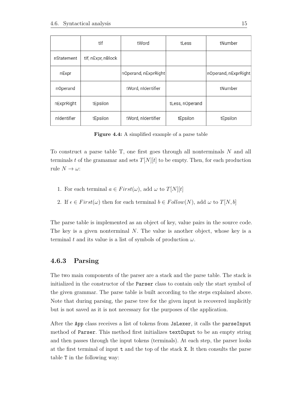|             | tlf                | tWord                | tLess           | tNumber              |
|-------------|--------------------|----------------------|-----------------|----------------------|
| nStatement  | tlf, nExpr, nBlock |                      |                 |                      |
| nExpr       |                    | nOperand, nExprRight |                 | nOperand, nExprRight |
| nOperand    |                    | tWord, nIdentifier   |                 | tNumber              |
| nExprRight  | tEpsilon           |                      | tLess, nOperand |                      |
| nidentifier | tEpsilon           | tWord, nIdentifier   | tEpsilon        | tEpsilon             |

**Figure 4.4:** A simplified example of a parse table

To construct a parse table T, one first goes through all nonterminals  $N$  and all terminals t of the gramamar and sets  $T[N][t]$  to be empty. Then, for each production rule  $N \to \omega$ :

- 1. For each terminal  $a \in First(\omega)$ , add  $\omega$  to  $T[N][t]$
- 2. If  $\epsilon \in First(\omega)$  then for each terminal  $b \in Follow(N)$ , add  $\omega$  to  $T[N, b]$

The parse table is implemented as an object of key, value pairs in the source code. The key is a given nonterminal  $N$ . The value is another object, whose key is a terminal t and its value is a list of symbols of production  $\omega$ .

### <span id="page-19-0"></span>**4.6.3 Parsing**

The two main components of the parser are a stack and the parse table. The stack is initialized in the constructor of the Parser class to contain only the start symbol of the given grammar. The parse table is built according to the steps explained above. Note that during parsing, the parse tree for the given input is recovered implicitly but is not saved as it is not necessary for the purposes of the application.

After the App class receives a list of tokens from JsLexer, it calls the parseInput method of Parser. This method first initializes textOuput to be an empty string and then passes through the input tokens (terminals). At each step, the parser looks at the first terminal of input t and the top of the stack X. It then consults the parse table T in the following way: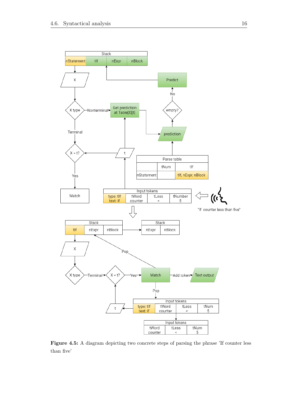

**Figure 4.5:** A diagram depicting two concrete steps of parsing the phrase 'If counter less than five'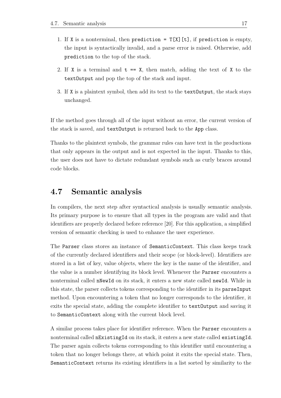- 1. If X is a nonterminal, then prediction =  $T[X][t]$ , if prediction is empty, the input is syntactically invalid, and a parse error is raised. Otherwise, add prediction to the top of the stack.
- 2. If X is a terminal and  $t = X$ , then match, adding the text of X to the textOutput and pop the top of the stack and input.
- 3. If X is a plaintext symbol, then add its text to the textOutput, the stack stays unchanged.

If the method goes through all of the input without an error, the current version of the stack is saved, and textOutput is returned back to the App class.

Thanks to the plaintext symbols, the grammar rules can have text in the productions that only appears in the output and is not expected in the input. Thanks to this, the user does not have to dictate redundant symbols such as curly braces around code blocks.

## <span id="page-21-0"></span>**4.7 Semantic analysis**

In compilers, the next step after syntactical analysis is usually semantic analysis. Its primary purpose is to ensure that all types in the program are valid and that identifiers are properly declared before reference [\[20\]](#page-33-1). For this application, a simplified version of semantic checking is used to enhance the user experience.

The Parser class stores an instance of SemanticContext. This class keeps track of the currently declared identifiers and their scope (or block-level). Identifiers are stored in a list of key, value objects, where the key is the name of the identifier, and the value is a number identifying its block level. Whenever the Parser encounters a nonterminal called nNewId on its stack, it enters a new state called newId. While in this state, the parser collects tokens corresponding to the identifier in its parseInput method. Upon encountering a token that no longer corresponds to the identifier, it exits the special state, adding the complete identifier to textOutput and saving it to SemanticContext along with the current block level.

A similar process takes place for identifier reference. When the Parser encounters a nonterminal called nExistingId on its stack, it enters a new state called existingId. The parser again collects tokens corresponding to this identifier until encountering a token that no longer belongs there, at which point it exits the special state. Then, SemanticContext returns its existing identifiers in a list sorted by similarity to the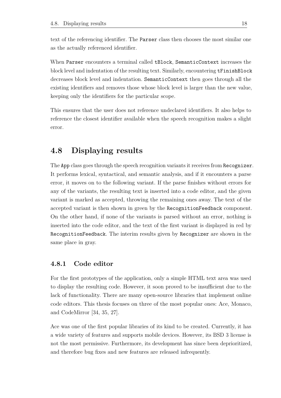text of the referencing identifier. The Parser class then chooses the most similar one as the actually referenced identifier.

When Parser encounters a terminal called tBlock, SemanticContext increases the block level and indentation of the resulting text. Similarly, encountering **tFinishBlock** decreases block level and indentation. SemanticContext then goes through all the existing identifiers and removes those whose block level is larger than the new value, keeping only the identifiers for the particular scope.

This ensures that the user does not reference undeclared identifiers. It also helps to reference the closest identifier available when the speech recognition makes a slight error.

## <span id="page-22-0"></span>**4.8 Displaying results**

The App class goes through the speech recognition variants it receives from Recognizer. It performs lexical, syntactical, and semantic analysis, and if it encounters a parse error, it moves on to the following variant. If the parse finishes without errors for any of the variants, the resulting text is inserted into a code editor, and the given variant is marked as accepted, throwing the remaining ones away. The text of the accepted variant is then shown in green by the RecognitionFeedback component. On the other hand, if none of the variants is parsed without an error, nothing is inserted into the code editor, and the text of the first variant is displayed in red by RecognitionFeedback. The interim results given by Recognizer are shown in the same place in gray.

### <span id="page-22-1"></span>**4.8.1 Code editor**

For the first prototypes of the application, only a simple HTML text area was used to display the resulting code. However, it soon proved to be insufficient due to the lack of functionality. There are many open-source libraries that implement online code editors. This thesis focuses on three of the most popular ones: Ace, Monaco, and CodeMirror [\[34,](#page-33-15) [35,](#page-33-16) [27\]](#page-33-8).

Ace was one of the first popular libraries of its kind to be created. Currently, it has a wide variety of features and supports mobile devices. However, its BSD 3 license is not the most permissive. Furthermore, its development has since been deprioritized, and therefore bug fixes and new features are released infrequently.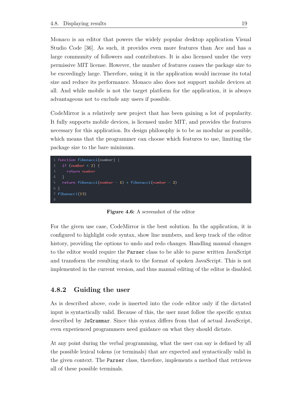Monaco is an editor that powers the widely popular desktop application Visual Studio Code [\[36\]](#page-33-17). As such, it provides even more features than Ace and has a large community of followers and contributors. It is also licensed under the very permissive MIT license. However, the number of features causes the package size to be exceedingly large. Therefore, using it in the application would increase its total size and reduce its performance. Monaco also does not support mobile devices at all. And while mobile is not the target platform for the application, it is always advantageous not to exclude any users if possible.

CodeMirror is a relatively new project that has been gaining a lot of popularity. It fully supports mobile devices, is licensed under MIT, and provides the features necessary for this application. Its design philosophy is to be as modular as possible, which means that the programmer can choose which features to use, limiting the package size to the bare minimum.

```
1 function fibonacci(number) {
    if (number \langle 2 \rangle {
      return number
    ŋ
    return fibonacci(number - 1) + fibonacci(number - 2)
 fibonacci(13)
```
**Figure 4.6:** A screenshot of the editor

For the given use case, CodeMirror is the best solution. In the application, it is configured to highlight code syntax, show line numbers, and keep track of the editor history, providing the options to undo and redo changes. Handling manual changes to the editor would require the Parser class to be able to parse written JavaScript and transform the resulting stack to the format of spoken JavaScript. This is not implemented in the current version, and thus manual editing of the editor is disabled.

### <span id="page-23-0"></span>**4.8.2 Guiding the user**

As is described above, code is inserted into the code editor only if the dictated input is syntactically valid. Because of this, the user must follow the specific syntax described by JsGrammar. Since this syntax differs from that of actual JavaScript, even experienced programmers need guidance on what they should dictate.

At any point during the verbal programming, what the user can say is defined by all the possible lexical tokens (or terminals) that are expected and syntactically valid in the given context. The Parser class, therefore, implements a method that retrieves all of these possible terminals.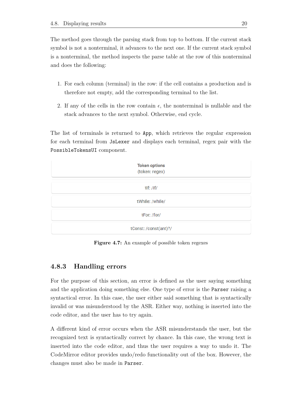The method goes through the parsing stack from top to bottom. If the current stack symbol is not a nonterminal, it advances to the next one. If the current stack symbol is a nonterminal, the method inspects the parse table at the row of this nonterminal and does the following:

- 1. For each column (terminal) in the row: if the cell contains a production and is therefore not empty, add the corresponding terminal to the list.
- 2. If any of the cells in the row contain  $\epsilon$ , the nonterminal is nullable and the stack advances to the next symbol. Otherwise, end cycle.

The list of terminals is returned to App, which retrieves the regular expression for each terminal from JsLexer and displays each terminal, regex pair with the PossibleTokensUI component.



**Figure 4.7:** An example of possible token regexes

### <span id="page-24-0"></span>**4.8.3 Handling errors**

For the purpose of this section, an error is defined as the user saying something and the application doing something else. One type of error is the Parser raising a syntactical error. In this case, the user either said something that is syntactically invalid or was misunderstood by the ASR. Either way, nothing is inserted into the code editor, and the user has to try again.

A different kind of error occurs when the ASR misunderstands the user, but the recognized text is syntactically correct by chance. In this case, the wrong text is inserted into the code editor, and thus the user requires a way to undo it. The CodeMirror editor provides undo/redo functionality out of the box. However, the changes must also be made in Parser.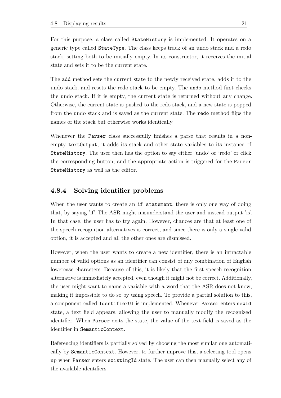For this purpose, a class called StateHistory is implemented. It operates on a generic type called StateType. The class keeps track of an undo stack and a redo stack, setting both to be initially empty. In its constructor, it receives the initial state and sets it to be the current state.

The add method sets the current state to the newly received state, adds it to the undo stack, and resets the redo stack to be empty. The undo method first checks the undo stack. If it is empty, the current state is returned without any change. Otherwise, the current state is pushed to the redo stack, and a new state is popped from the undo stack and is saved as the current state. The redo method flips the names of the stack but otherwise works identically.

Whenever the Parser class successfully finishes a parse that results in a nonempty textOutput, it adds its stack and other state variables to its instance of StateHistory. The user then has the option to say either 'undo' or 'redo' or click the corresponding button, and the appropriate action is triggered for the Parser StateHistory as well as the editor.

### <span id="page-25-0"></span>**4.8.4 Solving identifier problems**

When the user wants to create an if statement, there is only one way of doing that, by saying 'if'. The ASR might misunderstand the user and instead output 'is'. In that case, the user has to try again. However, chances are that at least one of the speech recognition alternatives is correct, and since there is only a single valid option, it is accepted and all the other ones are dismissed.

However, when the user wants to create a new identifier, there is an intractable number of valid options as an identifier can consist of any combination of English lowercase characters. Because of this, it is likely that the first speech recognition alternative is immediately accepted, even though it might not be correct. Additionally, the user might want to name a variable with a word that the ASR does not know, making it impossible to do so by using speech. To provide a partial solution to this, a component called IdentifierUI is implemented. Whenever Parser enters newId state, a text field appears, allowing the user to manually modify the recognized identifier. When Parser exits the state, the value of the text field is saved as the identifier in SemanticContext.

<span id="page-25-1"></span>Referencing identifiers is partially solved by choosing the most similar one automatically by SemanticContext. However, to further improve this, a selecting tool opens up when Parser enters existingId state. The user can then manually select any of the available identifiers.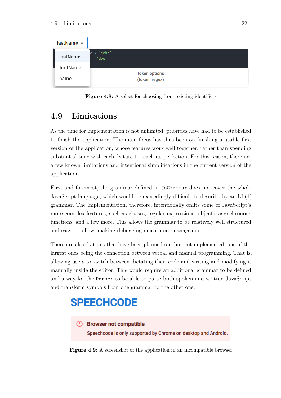

**Figure 4.8:** A select for choosing from existing identifiers

## **4.9 Limitations**

As the time for implementation is not unlimited, priorities have had to be established to finish the application. The main focus has thus been on finishing a usable first version of the application, whose features work well together, rather than spending substantial time with each feature to reach its perfection. For this reason, there are a few known limitations and intentional simplifications in the current version of the application.

First and foremost, the grammar defined in JsGrammar does not cover the whole JavaScript language, which would be exceedingly difficult to describe by an  $LL(1)$ grammar. The implementation, therefore, intentionally omits some of JavaScript's more complex features, such as classes, regular expressions, objects, asynchronous functions, and a few more. This allows the grammar to be relatively well structured and easy to follow, making debugging much more manageable.

There are also features that have been planned out but not implemented, one of the largest ones being the connection between verbal and manual programming. That is, allowing users to switch between dictating their code and writing and modifying it manually inside the editor. This would require an additional grammar to be defined and a way for the Parser to be able to parse both spoken and written JavaScript and transform symbols from one grammar to the other one.

# **SPEECHCODE**

### (!) Browser not compatible

Speechcode is only supported by Chrome on desktop and Android.

**Figure 4.9:** A screenshot of the application in an incompatible browser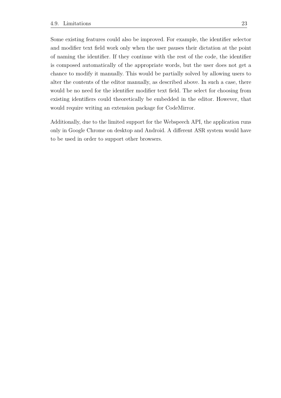Some existing features could also be improved. For example, the identifier selector and modifier text field work only when the user pauses their dictation at the point of naming the identifier. If they continue with the rest of the code, the identifier is composed automatically of the appropriate words, but the user does not get a chance to modify it manually. This would be partially solved by allowing users to alter the contents of the editor manually, as described above. In such a case, there would be no need for the identifier modifier text field. The select for choosing from existing identifiers could theoretically be embedded in the editor. However, that would require writing an extension package for CodeMirror.

Additionally, due to the limited support for the Webspeech API, the application runs only in Google Chrome on desktop and Android. A different ASR system would have to be used in order to support other browsers.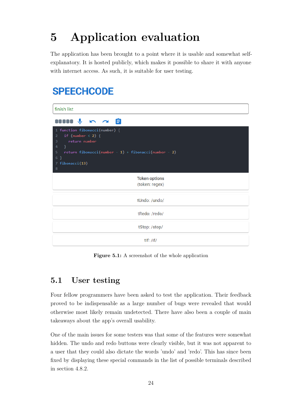# <span id="page-28-0"></span>**5 Application evaluation**

The application has been brought to a point where it is usable and somewhat selfexplanatory. It is hosted publicly, which makes it possible to share it with anyone with internet access. As such, it is suitable for user testing.

# **SPEECHCODE**

| finish list                                                                                                                                                                                                                               |  |
|-------------------------------------------------------------------------------------------------------------------------------------------------------------------------------------------------------------------------------------------|--|
| $\mathbf{m} \cdot \mathbf{r}$ is $\mathbf{m} \cdot \mathbf{r}$                                                                                                                                                                            |  |
| 1 function fibonacci(number) {<br>if (number $\langle 2 \rangle$ {<br>$\overline{2}$<br>return number<br>3<br>$\overline{4}$<br>$\rightarrow$<br>5<br>return fibonacci(number - 1) + fibonacci(number - 2)<br>6 }<br>7 fibonacci(13)<br>8 |  |
| <b>Token options</b><br>(token: regex)                                                                                                                                                                                                    |  |
| tUndo: /undo/                                                                                                                                                                                                                             |  |
| tRedo: /redo/                                                                                                                                                                                                                             |  |
| tStop:/stop/                                                                                                                                                                                                                              |  |
| $t$ lf: /if/                                                                                                                                                                                                                              |  |

**Figure 5.1:** A screenshot of the whole application

# <span id="page-28-1"></span>**5.1 User testing**

Four fellow programmers have been asked to test the application. Their feedback proved to be indispensable as a large number of bugs were revealed that would otherwise most likely remain undetected. There have also been a couple of main takeaways about the app's overall usability.

One of the main issues for some testers was that some of the features were somewhat hidden. The undo and redo buttons were clearly visible, but it was not apparent to a user that they could also dictate the words 'undo' and 'redo'. This has since been fixed by displaying these special commands in the list of possible terminals described in section [4.8.2.](#page-23-0)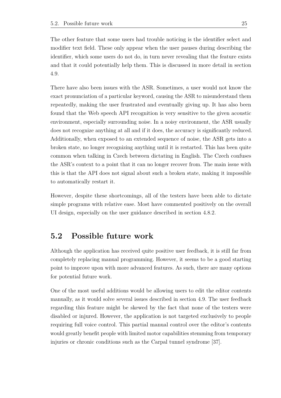The other feature that some users had trouble noticing is the identifier select and modifier text field. These only appear when the user pauses during describing the identifier, which some users do not do, in turn never revealing that the feature exists and that it could potentially help them. This is discussed in more detail in section [4.9.](#page-25-1)

There have also been issues with the ASR. Sometimes, a user would not know the exact pronunciation of a particular keyword, causing the ASR to misunderstand them repeatedly, making the user frustrated and eventually giving up. It has also been found that the Web speech API recognition is very sensitive to the given acoustic environment, especially surrounding noise. In a noisy environment, the ASR usually does not recognize anything at all and if it does, the accuracy is significantly reduced. Additionally, when exposed to an extended sequence of noise, the ASR gets into a broken state, no longer recognizing anything until it is restarted. This has been quite common when talking in Czech between dictating in English. The Czech confuses the ASR's context to a point that it can no longer recover from. The main issue with this is that the API does not signal about such a broken state, making it impossible to automatically restart it.

However, despite these shortcomings, all of the testers have been able to dictate simple programs with relative ease. Most have commented positively on the overall UI design, especially on the user guidance described in section [4.8.2.](#page-23-0)

# <span id="page-29-0"></span>**5.2 Possible future work**

Although the application has received quite positive user feedback, it is still far from completely replacing manual programming. However, it seems to be a good starting point to improve upon with more advanced features. As such, there are many options for potential future work.

One of the most useful additions would be allowing users to edit the editor contents manually, as it would solve several issues described in section [4.9.](#page-25-1) The user feedback regarding this feature might be skewed by the fact that none of the testers were disabled or injured. However, the application is not targeted exclusively to people requiring full voice control. This partial manual control over the editor's contents would greatly benefit people with limited motor capabilities stemming from temporary injuries or chronic conditions such as the Carpal tunnel syndrome [\[37\]](#page-33-18).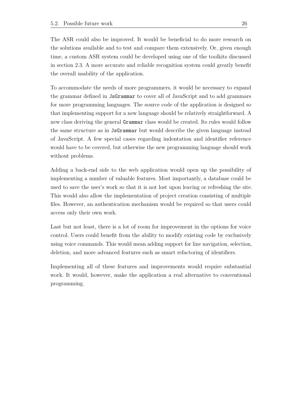The ASR could also be improved. It would be beneficial to do more research on the solutions available and to test and compare them extensively. Or, given enough time, a custom ASR system could be developed using one of the toolkits discussed in section [2.3.](#page-8-1) A more accurate and reliable recognition system could greatly benefit the overall usability of the application.

To accommodate the needs of more programmers, it would be necessary to expand the grammar defined in JsGrammar to cover all of JavaScript and to add grammars for more programming languages. The source code of the application is designed so that implementing support for a new language should be relatively straightforward. A new class deriving the general Grammar class would be created. Its rules would follow the same structure as in JsGrammar but would describe the given language instead of JavaScript. A few special cases regarding indentation and identifier reference would have to be covered, but otherwise the new programming language should work without problems.

Adding a back-end side to the web application would open up the possibility of implementing a number of valuable features. Most importantly, a database could be used to save the user's work so that it is not lost upon leaving or refreshing the site. This would also allow the implementation of project creation consisting of multiple files. However, an authentication mechanism would be required so that users could access only their own work.

Last but not least, there is a lot of room for improvement in the options for voice control. Users could benefit from the ability to modify existing code by exclusively using voice commands. This would mean adding support for line navigation, selection, deletion, and more advanced features such as smart refactoring of identifiers.

Implementing all of these features and improvements would require substantial work. It would, however, make the application a real alternative to conventional programming.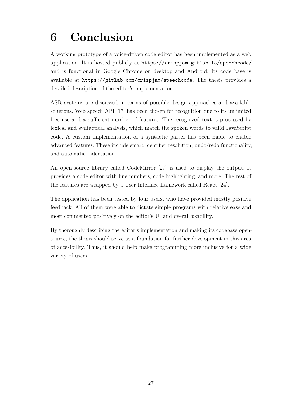# <span id="page-31-0"></span>**6 Conclusion**

A working prototype of a voice-driven code editor has been implemented as a web application. It is hosted publicly at <https://crispjam.gitlab.io/speechcode/> and is functional in Google Chrome on desktop and Android. Its code base is available at <https://gitlab.com/crispjam/speechcode>. The thesis provides a detailed description of the editor's implementation.

ASR systems are discussed in terms of possible design approaches and available solutions. Web speech API [\[17\]](#page-32-15) has been chosen for recognition due to its unlimited free use and a sufficient number of features. The recognized text is processed by lexical and syntactical analysis, which match the spoken words to valid JavaScript code. A custom implementation of a syntactic parser has been made to enable advanced features. These include smart identifier resolution, undo/redo functionality, and automatic indentation.

An open-source library called CodeMirror [\[27\]](#page-33-8) is used to display the output. It provides a code editor with line numbers, code highlighting, and more. The rest of the features are wrapped by a User Interface framework called React [\[24\]](#page-33-5).

The application has been tested by four users, who have provided mostly positive feedback. All of them were able to dictate simple programs with relative ease and most commented positively on the editor's UI and overall usability.

By thoroughly describing the editor's implementation and making its codebase opensource, the thesis should serve as a foundation for further development in this area of accesibility. Thus, it should help make programming more inclusive for a wide variety of users.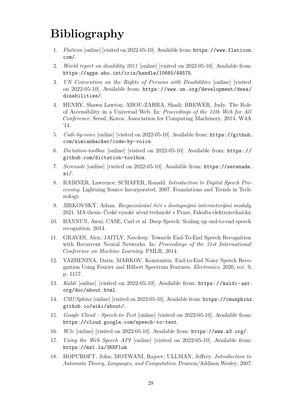# <span id="page-32-0"></span>**Bibliography**

- 1. *Flaticon* [online] [visited on 2022-05-10]. Available from: [https://www.flaticon.](https://www.flaticon.com/) [com/](https://www.flaticon.com/).
- <span id="page-32-1"></span>2. *World report on disability 2011* [online] [visited on 2022-05-10]. Available from: <https://apps.who.int/iris/handle/10665/44575>.
- <span id="page-32-2"></span>3. *UN Convention on the Rights of Persons with Disabilities* [online] [visited on 2022-05-10]. Available from: [https://www.un.org/development/desa/](https://www.un.org/development/desa/disabilities/) [disabilities/](https://www.un.org/development/desa/disabilities/).
- <span id="page-32-3"></span>4. HENRY, Shawn Lawton; ABOU-ZAHRA, Shadi; BREWER, Judy. The Role of Accessibility in a Universal Web. In: *Proceedings of the 11th Web for All Conference*. Seoul, Korea: Association for Computing Machinery, 2014. W4A '14.
- <span id="page-32-4"></span>5. *Code-by-voice* [online] [visited on 2022-05-10]. Available from: [https://github.](https://github.com/simianhacker/code-by-voice) [com/simianhacker/code-by-voice](https://github.com/simianhacker/code-by-voice).
- <span id="page-32-5"></span>6. *Dictation-toolbox* [online] [visited on 2022-05-10]. Available from: [https://](https://github.com/dictation-toolbox) [github.com/dictation-toolbox](https://github.com/dictation-toolbox).
- <span id="page-32-6"></span>7. *Serenade* [online] [visited on 2022-05-10]. Available from: [https://serenade.](https://serenade.ai/) [ai/](https://serenade.ai/).
- <span id="page-32-7"></span>8. RABINER, Lawrence; SCHAFER, Ronald. *Introduction to Digital Speech Processing*. Lightning Source Incorporated, 2007. Foundations and Trends in Technology.
- <span id="page-32-8"></span>9. JIRKOVSKÝ, Adam. *Rozpoznávání řeči s dostupnými internetovými moduly*. 2021. MA thesis. České vysoké učení technické v Praze, Fakulta elektrotechnická.
- <span id="page-32-9"></span>10. HANNUN, Awni; CASE, Carl et al. Deep Speech: Scaling up end-to-end speech recognition. 2014.
- <span id="page-32-10"></span>11. GRAVES, Alex; JAITLY, Navdeep. Towards End-To-End Speech Recognition with Recurrent Neural Networks. In: *Proceedings of the 31st International Conference on Machine Learning*. PMLR, 2014.
- <span id="page-32-11"></span>12. VAZHENINA, Daria; MARKOV, Konstantin. End-to-End Noisy Speech Recognition Using Fourier and Hilbert Spectrum Features. *Electronics*. 2020, roč. 9, p. 1157.
- <span id="page-32-12"></span>13. *Kaldi* [online] [visited on 2022-05-10]. Available from: [https://kaldi- asr.](https://kaldi-asr.org/doc/about.html) [org/doc/about.html](https://kaldi-asr.org/doc/about.html).
- <span id="page-32-13"></span>14. *CMUSphinx* [online] [visited on 2022-05-10]. Available from: [https://cmusphinx](https://cmusphinx.github.io/wiki/about/). [github.io/wiki/about/](https://cmusphinx.github.io/wiki/about/).
- <span id="page-32-14"></span>15. *Google Cloud - Speech-to-Text* [online] [visited on 2022-05-10]. Available from: <https://cloud.google.com/speech-to-text>.
- <span id="page-32-16"></span>16. *W3c* [online] [visited on 2022-05-10]. Available from: <https://www.w3.org/>.
- <span id="page-32-15"></span>17. *Using the Web Speech API* [online] [visited on 2022-05-10]. Available from: <https://mzl.la/3KKFluk>.
- <span id="page-32-17"></span>18. HOPCROFT, John; MOTWANI, Rajeev; ULLMAN, Jeffrey. *Introduction to Automata Theory, Languages, and Computation*. Pearson/Addison Wesley, 2007.